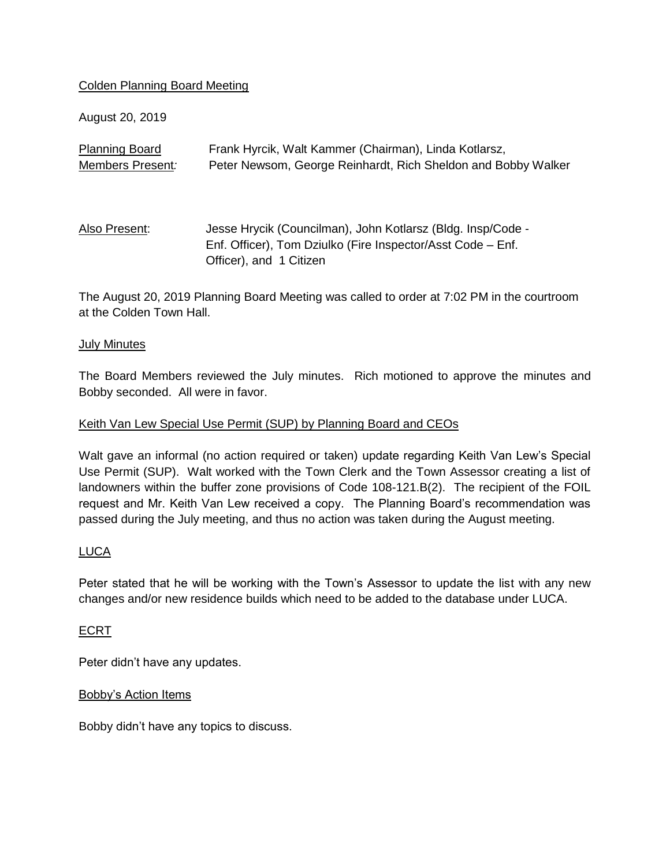## Colden Planning Board Meeting

August 20, 2019

| <b>Planning Board</b> | Frank Hyrcik, Walt Kammer (Chairman), Linda Kotlarsz,         |
|-----------------------|---------------------------------------------------------------|
| Members Present:      | Peter Newsom, George Reinhardt, Rich Sheldon and Bobby Walker |
|                       |                                                               |
|                       |                                                               |
| Also Present:         | Jesse Hrycik (Councilman), John Kotlarsz (Bldg. Insp/Code -   |
|                       | Enf. Officer), Tom Dziulko (Fire Inspector/Asst Code – Enf.   |
|                       | Officer), and 1 Citizen                                       |

The August 20, 2019 Planning Board Meeting was called to order at 7:02 PM in the courtroom at the Colden Town Hall.

### July Minutes

The Board Members reviewed the July minutes. Rich motioned to approve the minutes and Bobby seconded. All were in favor.

### Keith Van Lew Special Use Permit (SUP) by Planning Board and CEOs

Walt gave an informal (no action required or taken) update regarding Keith Van Lew's Special Use Permit (SUP). Walt worked with the Town Clerk and the Town Assessor creating a list of landowners within the buffer zone provisions of Code 108-121.B(2). The recipient of the FOIL request and Mr. Keith Van Lew received a copy. The Planning Board's recommendation was passed during the July meeting, and thus no action was taken during the August meeting.

## LUCA

Peter stated that he will be working with the Town's Assessor to update the list with any new changes and/or new residence builds which need to be added to the database under LUCA.

## ECRT

Peter didn't have any updates.

#### Bobby's Action Items

Bobby didn't have any topics to discuss.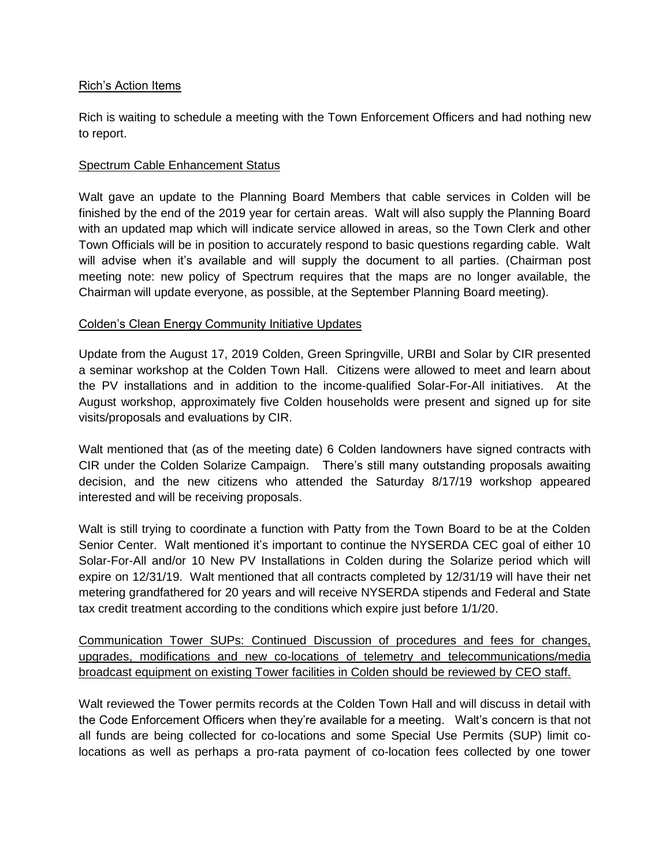### Rich's Action Items

Rich is waiting to schedule a meeting with the Town Enforcement Officers and had nothing new to report.

### Spectrum Cable Enhancement Status

Walt gave an update to the Planning Board Members that cable services in Colden will be finished by the end of the 2019 year for certain areas. Walt will also supply the Planning Board with an updated map which will indicate service allowed in areas, so the Town Clerk and other Town Officials will be in position to accurately respond to basic questions regarding cable. Walt will advise when it's available and will supply the document to all parties. (Chairman post meeting note: new policy of Spectrum requires that the maps are no longer available, the Chairman will update everyone, as possible, at the September Planning Board meeting).

## Colden's Clean Energy Community Initiative Updates

Update from the August 17, 2019 Colden, Green Springville, URBI and Solar by CIR presented a seminar workshop at the Colden Town Hall. Citizens were allowed to meet and learn about the PV installations and in addition to the income-qualified Solar-For-All initiatives. At the August workshop, approximately five Colden households were present and signed up for site visits/proposals and evaluations by CIR.

Walt mentioned that (as of the meeting date) 6 Colden landowners have signed contracts with CIR under the Colden Solarize Campaign. There's still many outstanding proposals awaiting decision, and the new citizens who attended the Saturday 8/17/19 workshop appeared interested and will be receiving proposals.

Walt is still trying to coordinate a function with Patty from the Town Board to be at the Colden Senior Center. Walt mentioned it's important to continue the NYSERDA CEC goal of either 10 Solar-For-All and/or 10 New PV Installations in Colden during the Solarize period which will expire on 12/31/19. Walt mentioned that all contracts completed by 12/31/19 will have their net metering grandfathered for 20 years and will receive NYSERDA stipends and Federal and State tax credit treatment according to the conditions which expire just before 1/1/20.

Communication Tower SUPs: Continued Discussion of procedures and fees for changes, upgrades, modifications and new co-locations of telemetry and telecommunications/media broadcast equipment on existing Tower facilities in Colden should be reviewed by CEO staff.

Walt reviewed the Tower permits records at the Colden Town Hall and will discuss in detail with the Code Enforcement Officers when they're available for a meeting. Walt's concern is that not all funds are being collected for co-locations and some Special Use Permits (SUP) limit colocations as well as perhaps a pro-rata payment of co-location fees collected by one tower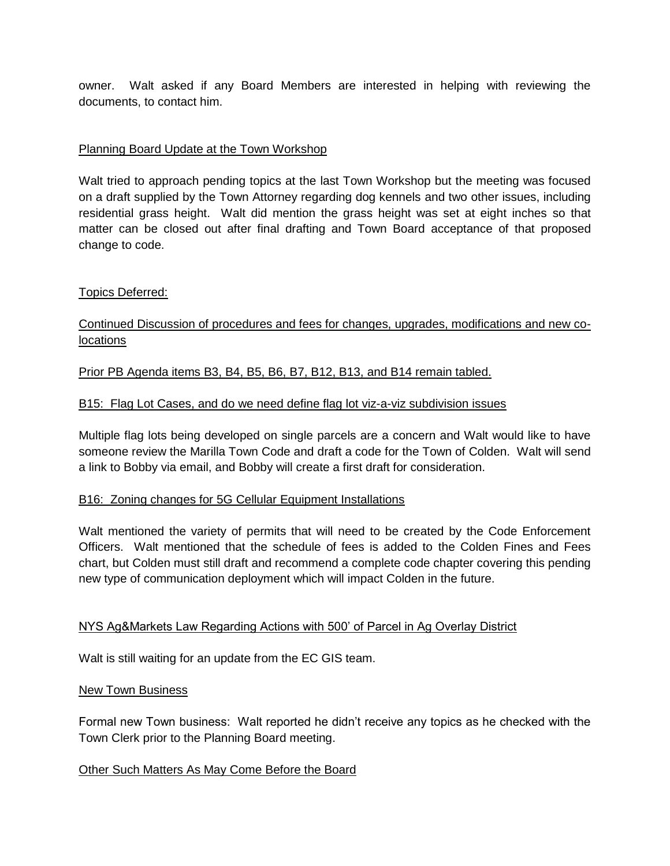owner. Walt asked if any Board Members are interested in helping with reviewing the documents, to contact him.

# Planning Board Update at the Town Workshop

Walt tried to approach pending topics at the last Town Workshop but the meeting was focused on a draft supplied by the Town Attorney regarding dog kennels and two other issues, including residential grass height. Walt did mention the grass height was set at eight inches so that matter can be closed out after final drafting and Town Board acceptance of that proposed change to code.

## Topics Deferred:

Continued Discussion of procedures and fees for changes, upgrades, modifications and new colocations

Prior PB Agenda items B3, B4, B5, B6, B7, B12, B13, and B14 remain tabled.

### B15: Flag Lot Cases, and do we need define flag lot viz-a-viz subdivision issues

Multiple flag lots being developed on single parcels are a concern and Walt would like to have someone review the Marilla Town Code and draft a code for the Town of Colden. Walt will send a link to Bobby via email, and Bobby will create a first draft for consideration.

#### B16: Zoning changes for 5G Cellular Equipment Installations

Walt mentioned the variety of permits that will need to be created by the Code Enforcement Officers. Walt mentioned that the schedule of fees is added to the Colden Fines and Fees chart, but Colden must still draft and recommend a complete code chapter covering this pending new type of communication deployment which will impact Colden in the future.

#### NYS Ag&Markets Law Regarding Actions with 500' of Parcel in Ag Overlay District

Walt is still waiting for an update from the EC GIS team.

#### New Town Business

Formal new Town business: Walt reported he didn't receive any topics as he checked with the Town Clerk prior to the Planning Board meeting.

#### Other Such Matters As May Come Before the Board